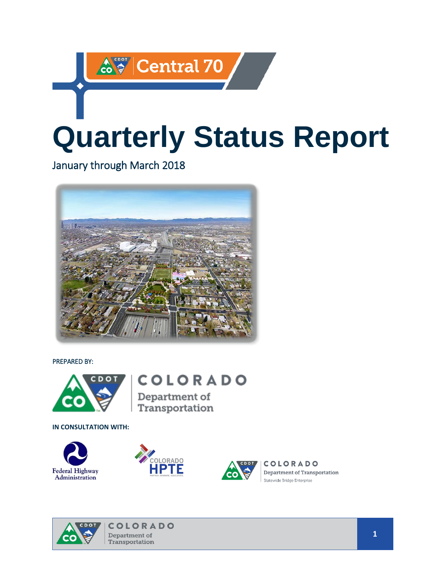# <u> ఉं स्था</u> Central 70 **Quarterly Status Report**

January through March 2018



PREPARED BY:



**COLORADO** 

Department of Transportation

**IN CONSULTATION WITH:** 







**COLORADO** Department of Transportation Statewide Bridge Enterprise

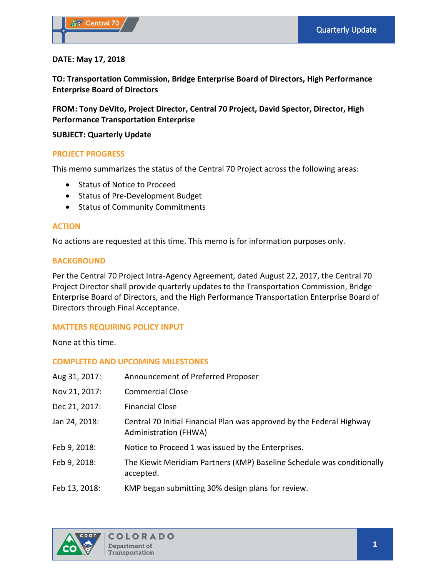# **DATE: May 17, 2018**

**TO: Transportation Commission, Bridge Enterprise Board of Directors, High Performance Enterprise Board of Directors**

**FROM: Tony DeVito, Project Director, Central 70 Project, David Spector, Director, High Performance Transportation Enterprise**

# **SUBJECT: Quarterly Update**

# **PROJECT PROGRESS**

This memo summarizes the status of the Central 70 Project across the following areas:

- Status of Notice to Proceed
- Status of Pre-Development Budget
- Status of Community Commitments

# **ACTION**

No actions are requested at this time. This memo is for information purposes only.

# **BACKGROUND**

Per the Central 70 Project Intra-Agency Agreement, dated August 22, 2017, the Central 70 Project Director shall provide quarterly updates to the Transportation Commission, Bridge Enterprise Board of Directors, and the High Performance Transportation Enterprise Board of Directors through Final Acceptance.

# **MATTERS REQUIRING POLICY INPUT**

None at this time.

# **COMPLETED AND UPCOMING MILESTONES**

| Aug 31, 2017: | Announcement of Preferred Proposer                                                                    |
|---------------|-------------------------------------------------------------------------------------------------------|
| Nov 21, 2017: | <b>Commercial Close</b>                                                                               |
| Dec 21, 2017: | <b>Financial Close</b>                                                                                |
| Jan 24, 2018: | Central 70 Initial Financial Plan was approved by the Federal Highway<br><b>Administration (FHWA)</b> |
| Feb 9, 2018:  | Notice to Proceed 1 was issued by the Enterprises.                                                    |
| Feb 9, 2018:  | The Kiewit Meridiam Partners (KMP) Baseline Schedule was conditionally<br>accepted.                   |
| Feb 13, 2018: | KMP began submitting 30% design plans for review.                                                     |

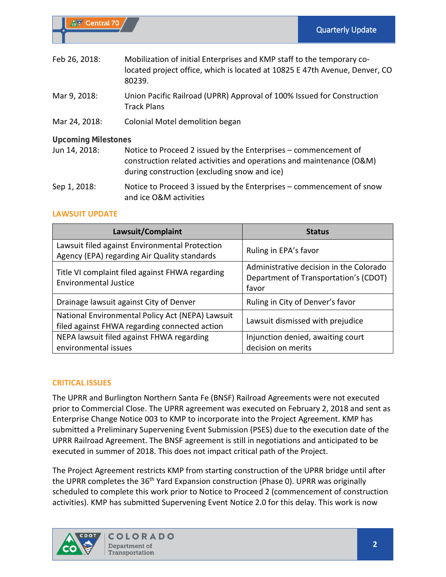| Feb 26, 2018:              | Mobilization of initial Enterprises and KMP staff to the temporary co-<br>located project office, which is located at 10825 E 47th Avenue, Denver, CO<br>80239.                         |
|----------------------------|-----------------------------------------------------------------------------------------------------------------------------------------------------------------------------------------|
| Mar 9, 2018:               | Union Pacific Railroad (UPRR) Approval of 100% Issued for Construction<br><b>Track Plans</b>                                                                                            |
| Mar 24, 2018:              | Colonial Motel demolition began                                                                                                                                                         |
| <b>Upcoming Milestones</b> |                                                                                                                                                                                         |
| Jun 14, 2018:              | Notice to Proceed 2 issued by the Enterprises – commencement of<br>construction related activities and operations and maintenance (O&M)<br>during construction (excluding snow and ice) |
| Sep 1, 2018:               | Notice to Proceed 3 issued by the Enterprises – commencement of snow<br>and ice O&M activities                                                                                          |

# **LAWSUIT UPDATE**

| Lawsuit/Complaint                                                                                 | <b>Status</b>                                                                             |  |
|---------------------------------------------------------------------------------------------------|-------------------------------------------------------------------------------------------|--|
| Lawsuit filed against Environmental Protection<br>Agency (EPA) regarding Air Quality standards    | Ruling in EPA's favor                                                                     |  |
| Title VI complaint filed against FHWA regarding<br><b>Environmental Justice</b>                   | Administrative decision in the Colorado<br>Department of Transportation's (CDOT)<br>favor |  |
| Drainage lawsuit against City of Denver                                                           | Ruling in City of Denver's favor                                                          |  |
| National Environmental Policy Act (NEPA) Lawsuit<br>filed against FHWA regarding connected action | Lawsuit dismissed with prejudice                                                          |  |
| NEPA lawsuit filed against FHWA regarding                                                         | Injunction denied, awaiting court                                                         |  |
| environmental issues                                                                              | decision on merits                                                                        |  |

# **CRITICAL ISSUES**

The UPRR and Burlington Northern Santa Fe (BNSF) Railroad Agreements were not executed prior to Commercial Close. The UPRR agreement was executed on February 2, 2018 and sent as Enterprise Change Notice 003 to KMP to incorporate into the Project Agreement. KMP has submitted a Preliminary Supervening Event Submission (PSES) due to the execution date of the UPRR Railroad Agreement. The BNSF agreement is still in negotiations and anticipated to be executed in summer of 2018. This does not impact critical path of the Project.

The Project Agreement restricts KMP from starting construction of the UPRR bridge until after the UPRR completes the 36<sup>th</sup> Yard Expansion construction (Phase 0). UPRR was originally scheduled to complete this work prior to Notice to Proceed 2 (commencement of construction activities). KMP has submitted Supervening Event Notice 2.0 for this delay. This work is now

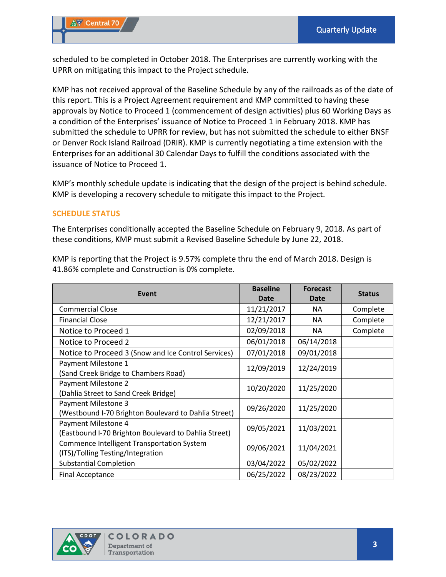scheduled to be completed in October 2018. The Enterprises are currently working with the UPRR on mitigating this impact to the Project schedule.

KMP has not received approval of the Baseline Schedule by any of the railroads as of the date of this report. This is a Project Agreement requirement and KMP committed to having these approvals by Notice to Proceed 1 (commencement of design activities) plus 60 Working Days as a condition of the Enterprises' issuance of Notice to Proceed 1 in February 2018. KMP has submitted the schedule to UPRR for review, but has not submitted the schedule to either BNSF or Denver Rock Island Railroad (DRIR). KMP is currently negotiating a time extension with the Enterprises for an additional 30 Calendar Days to fulfill the conditions associated with the issuance of Notice to Proceed 1.

KMP's monthly schedule update is indicating that the design of the project is behind schedule. KMP is developing a recovery schedule to mitigate this impact to the Project.

#### **SCHEDULE STATUS**

The Enterprises conditionally accepted the Baseline Schedule on February 9, 2018. As part of these conditions, KMP must submit a Revised Baseline Schedule by June 22, 2018.

| Event                                                                           | <b>Baseline</b><br><b>Date</b> | <b>Forecast</b><br>Date | <b>Status</b> |
|---------------------------------------------------------------------------------|--------------------------------|-------------------------|---------------|
| <b>Commercial Close</b>                                                         | 11/21/2017                     | NA.                     | Complete      |
| <b>Financial Close</b>                                                          | 12/21/2017                     | NA.                     | Complete      |
| Notice to Proceed 1                                                             | 02/09/2018                     | NA                      | Complete      |
| Notice to Proceed 2                                                             | 06/01/2018                     | 06/14/2018              |               |
| Notice to Proceed 3 (Snow and Ice Control Services)                             | 07/01/2018                     | 09/01/2018              |               |
| Payment Milestone 1<br>(Sand Creek Bridge to Chambers Road)                     | 12/09/2019                     | 12/24/2019              |               |
| Payment Milestone 2<br>(Dahlia Street to Sand Creek Bridge)                     | 10/20/2020                     | 11/25/2020              |               |
| Payment Milestone 3<br>(Westbound I-70 Brighton Boulevard to Dahlia Street)     | 09/26/2020                     | 11/25/2020              |               |
| Payment Milestone 4<br>(Eastbound I-70 Brighton Boulevard to Dahlia Street)     | 09/05/2021                     | 11/03/2021              |               |
| Commence Intelligent Transportation System<br>(ITS)/Tolling Testing/Integration | 09/06/2021                     | 11/04/2021              |               |
| <b>Substantial Completion</b>                                                   | 03/04/2022                     | 05/02/2022              |               |
| <b>Final Acceptance</b>                                                         | 06/25/2022                     | 08/23/2022              |               |

KMP is reporting that the Project is 9.57% complete thru the end of March 2018. Design is 41.86% complete and Construction is 0% complete.

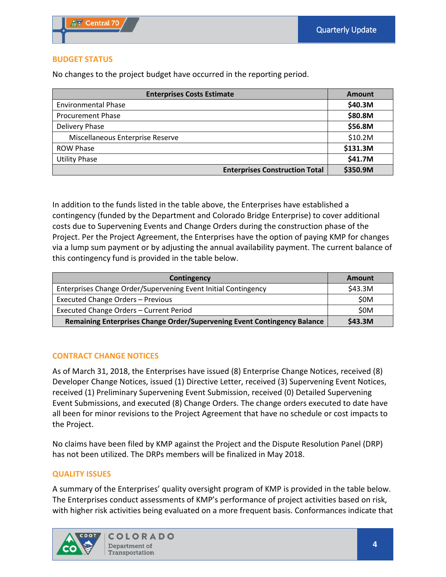# **BUDGET STATUS**

No changes to the project budget have occurred in the reporting period.

| <b>Enterprises Costs Estimate</b> | Amount                                |          |
|-----------------------------------|---------------------------------------|----------|
| <b>Environmental Phase</b>        |                                       | \$40.3M  |
| <b>Procurement Phase</b>          |                                       | \$80.8M  |
| Delivery Phase                    |                                       | \$56.8M  |
| Miscellaneous Enterprise Reserve  |                                       | \$10.2M  |
| <b>ROW Phase</b>                  |                                       | \$131.3M |
| <b>Utility Phase</b>              |                                       | \$41.7M  |
|                                   | <b>Enterprises Construction Total</b> | \$350.9M |

In addition to the funds listed in the table above, the Enterprises have established a contingency (funded by the Department and Colorado Bridge Enterprise) to cover additional costs due to Supervening Events and Change Orders during the construction phase of the Project. Per the Project Agreement, the Enterprises have the option of paying KMP for changes via a lump sum payment or by adjusting the annual availability payment. The current balance of this contingency fund is provided in the table below.

| Contingency                                                              | Amount  |
|--------------------------------------------------------------------------|---------|
| Enterprises Change Order/Supervening Event Initial Contingency           | \$43.3M |
| Executed Change Orders - Previous                                        | \$0M    |
| Executed Change Orders - Current Period                                  | \$0M    |
| Remaining Enterprises Change Order/Supervening Event Contingency Balance | \$43.3M |

# **CONTRACT CHANGE NOTICES**

As of March 31, 2018, the Enterprises have issued (8) Enterprise Change Notices, received (8) Developer Change Notices, issued (1) Directive Letter, received (3) Supervening Event Notices, received (1) Preliminary Supervening Event Submission, received (0) Detailed Supervening Event Submissions, and executed (8) Change Orders. The change orders executed to date have all been for minor revisions to the Project Agreement that have no schedule or cost impacts to the Project.

No claims have been filed by KMP against the Project and the Dispute Resolution Panel (DRP) has not been utilized. The DRPs members will be finalized in May 2018.

# **QUALITY ISSUES**

A summary of the Enterprises' quality oversight program of KMP is provided in the table below. The Enterprises conduct assessments of KMP's performance of project activities based on risk, with higher risk activities being evaluated on a more frequent basis. Conformances indicate that

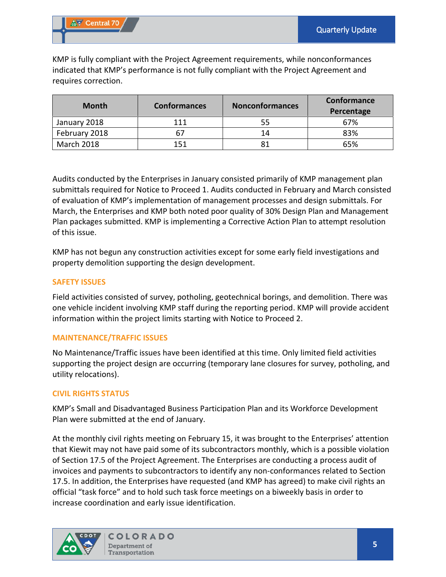KMP is fully compliant with the Project Agreement requirements, while nonconformances indicated that KMP's performance is not fully compliant with the Project Agreement and requires correction.

| <b>Month</b>  | <b>Conformances</b> | <b>Nonconformances</b> | Conformance<br>Percentage |
|---------------|---------------------|------------------------|---------------------------|
| January 2018  | 111                 | 55                     | 67%                       |
| February 2018 | 67                  | 14                     | 83%                       |
| March 2018    | 151                 | 81                     | 65%                       |

Audits conducted by the Enterprises in January consisted primarily of KMP management plan submittals required for Notice to Proceed 1. Audits conducted in February and March consisted of evaluation of KMP's implementation of management processes and design submittals. For March, the Enterprises and KMP both noted poor quality of 30% Design Plan and Management Plan packages submitted. KMP is implementing a Corrective Action Plan to attempt resolution of this issue.

KMP has not begun any construction activities except for some early field investigations and property demolition supporting the design development.

# **SAFETY ISSUES**

Field activities consisted of survey, potholing, geotechnical borings, and demolition. There was one vehicle incident involving KMP staff during the reporting period. KMP will provide accident information within the project limits starting with Notice to Proceed 2.

# **MAINTENANCE/TRAFFIC ISSUES**

No Maintenance/Traffic issues have been identified at this time. Only limited field activities supporting the project design are occurring (temporary lane closures for survey, potholing, and utility relocations).

# **CIVIL RIGHTS STATUS**

KMP's Small and Disadvantaged Business Participation Plan and its Workforce Development Plan were submitted at the end of January.

At the monthly civil rights meeting on February 15, it was brought to the Enterprises' attention that Kiewit may not have paid some of its subcontractors monthly, which is a possible violation of Section 17.5 of the Project Agreement. The Enterprises are conducting a process audit of invoices and payments to subcontractors to identify any non-conformances related to Section 17.5. In addition, the Enterprises have requested (and KMP has agreed) to make civil rights an official "task force" and to hold such task force meetings on a biweekly basis in order to increase coordination and early issue identification.